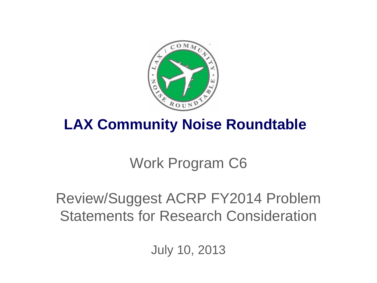

### **LAX Community Noise Roundtable**

# Work Program C6

## Review/Suggest ACRP FY2014 Problem Statements for Research Consideration

July 10, 2013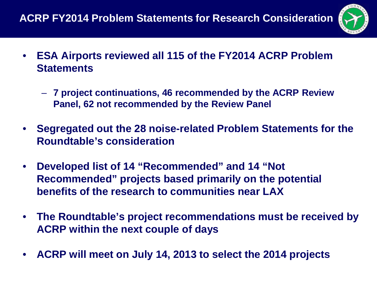

- **ESA Airports reviewed all 115 of the FY2014 ACRP Problem Statements**
	- **7 project continuations, 46 recommended by the ACRP Review Panel, 62 not recommended by the Review Panel**
- **Segregated out the 28 noise-related Problem Statements for the Roundtable's consideration**
- **Developed list of 14 "Recommended" and 14 "Not Recommended" projects based primarily on the potential benefits of the research to communities near LAX**
- **The Roundtable's project recommendations must be received by ACRP within the next couple of days**
- **ACRP will meet on July 14, 2013 to select the 2014 projects**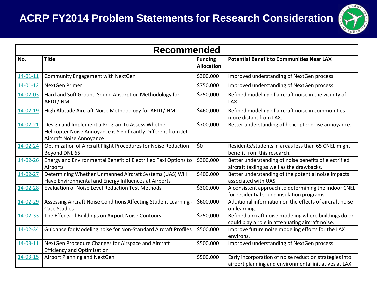#### **ACRP FY2014 Problem Statements for Research Consideration**



| <b>Recommended</b> |                                                                                                                                                |                                     |                                                                                                                  |  |  |
|--------------------|------------------------------------------------------------------------------------------------------------------------------------------------|-------------------------------------|------------------------------------------------------------------------------------------------------------------|--|--|
| No.                | <b>Title</b>                                                                                                                                   | <b>Funding</b><br><b>Allocation</b> | <b>Potential Benefit to Communities Near LAX</b>                                                                 |  |  |
| $14 - 01 - 11$     | Community Engagement with NextGen                                                                                                              | \$300,000                           | Improved understanding of NextGen process.                                                                       |  |  |
| $14 - 01 - 12$     | NextGen Primer                                                                                                                                 | \$750,000                           | Improved understanding of NextGen process.                                                                       |  |  |
| 14-02-03           | Hard and Soft Ground Sound Absorption Methodology for<br>AEDT/INM                                                                              | \$250,000                           | Refined modeling of aircraft noise in the vicinity of<br>LAX.                                                    |  |  |
| $14 - 02 - 19$     | High Altitude Aircraft Noise Methodology for AEDT/INM                                                                                          | \$460,000                           | Refined modeling of aircraft noise in communities<br>more distant from LAX.                                      |  |  |
| 14-02-21           | Design and Implement a Program to Assess Whether<br>Helicopter Noise Annoyance is Significantly Different from Jet<br>Aircraft Noise Annoyance | \$700,000                           | Better understanding of helicopter noise annoyance.                                                              |  |  |
| $14 - 02 - 24$     | Optimization of Aircraft Flight Procedures for Noise Reduction<br>Beyond DNL 65                                                                | \$0                                 | Residents/students in areas less than 65 CNEL might<br>benefit from this research.                               |  |  |
| $14 - 02 - 26$     | Energy and Environmental Benefit of Electrified Taxi Options to<br>Airports                                                                    | \$300,000                           | Better understanding of noise benefits of electrified<br>aircraft taxiing as well as the drawbacks.              |  |  |
| $14 - 02 - 27$     | Determining Whether Unmanned Aircraft Systems (UAS) Will<br>Have Environmental and Energy Influences at Airports                               | \$400,000                           | Better understanding of the potential noise impacts<br>associated with UAS.                                      |  |  |
| 14-02-28           | <b>Evaluation of Noise Level Reduction Test Methods</b>                                                                                        | \$300,000                           | A consistent approach to determining the indoor CNEL<br>for residential sound insulation programs.               |  |  |
| 14-02-29           | Assessing Aircraft Noise Conditions Affecting Student Learning<br><b>Case Studies</b>                                                          | \$600,000                           | Additional information on the effects of aircraft noise<br>on learning.                                          |  |  |
| 14-02-33           | The Effects of Buildings on Airport Noise Contours                                                                                             | \$250,000                           | Refined aircraft noise modeling where buildings do or<br>could play a role in attenuating aircraft noise.        |  |  |
| 14-02-34           | Guidance for Modeling noise for Non-Standard Aircraft Profiles                                                                                 | \$500,000                           | Improve future noise modeling efforts for the LAX<br>environs.                                                   |  |  |
| 14-03-11           | NextGen Procedure Changes for Airspace and Aircraft<br><b>Efficiency and Optimization</b>                                                      | \$500,000                           | Improved understanding of NextGen process.                                                                       |  |  |
| 14-03-15           | Airport Planning and NextGen                                                                                                                   | \$500,000                           | Early incorporation of noise reduction strategies into<br>airport planning and environmental initiatives at LAX. |  |  |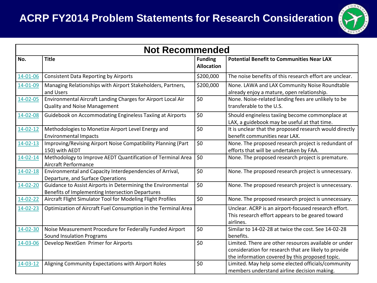#### **ACRP FY2014 Problem Statements for Research Consideration**



| <b>Not Recommended</b> |                                                                                                                  |                                     |                                                                                                                                                                   |  |
|------------------------|------------------------------------------------------------------------------------------------------------------|-------------------------------------|-------------------------------------------------------------------------------------------------------------------------------------------------------------------|--|
| No.                    | <b>Title</b>                                                                                                     | <b>Funding</b><br><b>Allocation</b> | <b>Potential Benefit to Communities Near LAX</b>                                                                                                                  |  |
| 14-01-06               | <b>Consistent Data Reporting by Airports</b>                                                                     | \$200,000                           | The noise benefits of this research effort are unclear.                                                                                                           |  |
| 14-01-09               | Managing Relationships with Airport Stakeholders, Partners,<br>and Users                                         | \$200,000                           | None. LAWA and LAX Community Noise Roundtable<br>already enjoy a mature, open relationship.                                                                       |  |
| 14-02-05               | Environmental Aircraft Landing Charges for Airport Local Air<br><b>Quality and Noise Management</b>              | \$0                                 | None. Noise-related landing fees are unlikely to be<br>transferable to the U.S.                                                                                   |  |
| 14-02-08               | Guidebook on Accommodating Engineless Taxiing at Airports                                                        | \$0                                 | Should engineless taxiing become commonplace at<br>LAX, a guidebook may be useful at that time.                                                                   |  |
| $14 - 02 - 12$         | Methodologies to Monetize Airport Level Energy and<br><b>Environmental Impacts</b>                               | \$0                                 | It is unclear that the proposed research would directly<br>benefit communities near LAX.                                                                          |  |
| $14 - 02 - 13$         | Improving/Revising Airport Noise Compatibility Planning (Part<br>150) with AEDT                                  | \$0                                 | None. The proposed research project is redundant of<br>efforts that will be undertaken by FAA.                                                                    |  |
| $14 - 02 - 14$         | Methodology to Improve AEDT Quantification of Terminal Area<br>Aircraft Performance                              | \$0                                 | None. The proposed research project is premature.                                                                                                                 |  |
| $14 - 02 - 18$         | Environmental and Capacity Interdependencies of Arrival,<br>Departure, and Surface Operations                    | \$0                                 | None. The proposed research project is unnecessary.                                                                                                               |  |
| 14-02-20               | Guidance to Assist Airports in Determining the Environmental<br>Benefits of Implementing Intersection Departures | \$0                                 | None. The proposed research project is unnecessary.                                                                                                               |  |
| $14 - 02 - 22$         | Aircraft Flight Simulator Tool for Modeling Flight Profiles                                                      | \$0                                 | None. The proposed research project is unnecessary.                                                                                                               |  |
| 14-02-23               | Optimization of Aircraft Fuel Consumption in the Terminal Area                                                   |                                     | Unclear. ACRP is an airport-focused research effort.<br>This research effort appears to be geared toward<br>airlines.                                             |  |
| 14-02-30               | Noise Measurement Procedure for Federally Funded Airport<br><b>Sound Insulation Programs</b>                     | \$0                                 | Similar to 14-02-28 at twice the cost. See 14-02-28<br>benefits.                                                                                                  |  |
| 14-03-06               | Develop NextGen Primer for Airports                                                                              | \$0                                 | Limited. There are other resources available or under<br>consideration for research that are likely to provide<br>the information covered by this proposed topic. |  |
| 14-03-12               | Aligning Community Expectations with Airport Roles                                                               | \$0                                 | Limited. May help some elected officials/community<br>members understand airline decision making.                                                                 |  |